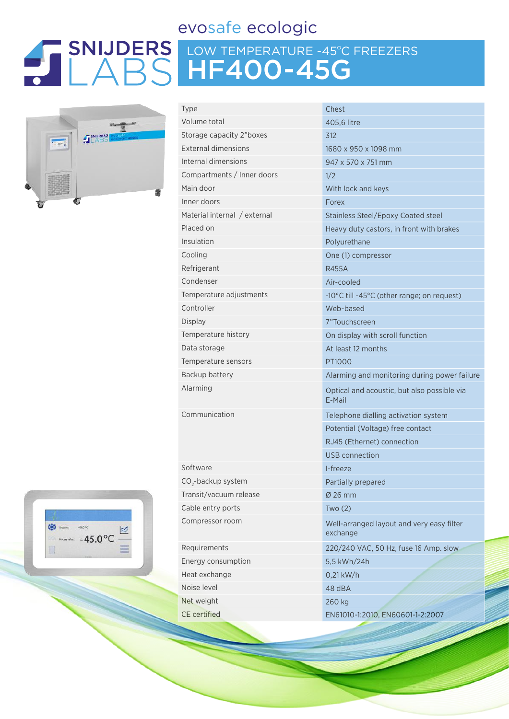# evosafe ecologic

# LOW TEMPERATURE -45ºC FREEZERS HF400-45G



| Volume total<br>405,6 litre<br>Storage capacity 2"boxes<br>312<br><b>External dimensions</b><br>1680 x 950 x 1098 mm<br>Internal dimensions<br>947 x 570 x 751 mm<br>Compartments / Inner doors<br>1/2<br>Main door<br>With lock and keys<br>Inner doors<br>Forex<br>Material internal / external<br><b>Stainless Steel/Epoxy Coated steel</b><br>Placed on<br>Heavy duty castors, in front with brakes<br>Insulation<br>Polyurethane<br>Cooling<br>One (1) compressor<br>Refrigerant<br><b>R455A</b><br>Condenser<br>Air-cooled<br>Temperature adjustments<br>-10°C till -45°C (other range; on request)<br>Controller<br>Web-based<br>Display<br>7"Touchscreen<br>Temperature history<br>On display with scroll function<br>Data storage<br>At least 12 months<br>Temperature sensors<br>PT1000<br>Backup battery<br>Alarming<br>Optical and acoustic, but also possible via<br>E-Mail<br>Communication<br>Telephone dialling activation system<br>Potential (Voltage) free contact<br>RJ45 (Ethernet) connection<br>USB connection<br>Software<br>I-freeze<br>CO <sub>2</sub> -backup system<br>Partially prepared<br>Transit/vacuum release<br>Ø 26 mm<br>Cable entry ports<br>Two $(2)$<br>Compressor room<br>Well-arranged layout and very easy filter<br>exchange<br>Requirements<br>220/240 VAC, 50 Hz, fuse 16 Amp. slow<br>Energy consumption<br>5,5 kWh/24h<br>Heat exchange<br>$0,21$ kW/h<br>Noise level<br>48 dBA<br>Net weight<br>260 kg<br><b>CE</b> certified<br>EN61010-1:2010, EN60601-1-2:2007 | Type | Chest                                        |  |  |  |  |
|--------------------------------------------------------------------------------------------------------------------------------------------------------------------------------------------------------------------------------------------------------------------------------------------------------------------------------------------------------------------------------------------------------------------------------------------------------------------------------------------------------------------------------------------------------------------------------------------------------------------------------------------------------------------------------------------------------------------------------------------------------------------------------------------------------------------------------------------------------------------------------------------------------------------------------------------------------------------------------------------------------------------------------------------------------------------------------------------------------------------------------------------------------------------------------------------------------------------------------------------------------------------------------------------------------------------------------------------------------------------------------------------------------------------------------------------------------------------------------------------------------------------|------|----------------------------------------------|--|--|--|--|
|                                                                                                                                                                                                                                                                                                                                                                                                                                                                                                                                                                                                                                                                                                                                                                                                                                                                                                                                                                                                                                                                                                                                                                                                                                                                                                                                                                                                                                                                                                                    |      |                                              |  |  |  |  |
|                                                                                                                                                                                                                                                                                                                                                                                                                                                                                                                                                                                                                                                                                                                                                                                                                                                                                                                                                                                                                                                                                                                                                                                                                                                                                                                                                                                                                                                                                                                    |      |                                              |  |  |  |  |
|                                                                                                                                                                                                                                                                                                                                                                                                                                                                                                                                                                                                                                                                                                                                                                                                                                                                                                                                                                                                                                                                                                                                                                                                                                                                                                                                                                                                                                                                                                                    |      |                                              |  |  |  |  |
|                                                                                                                                                                                                                                                                                                                                                                                                                                                                                                                                                                                                                                                                                                                                                                                                                                                                                                                                                                                                                                                                                                                                                                                                                                                                                                                                                                                                                                                                                                                    |      |                                              |  |  |  |  |
|                                                                                                                                                                                                                                                                                                                                                                                                                                                                                                                                                                                                                                                                                                                                                                                                                                                                                                                                                                                                                                                                                                                                                                                                                                                                                                                                                                                                                                                                                                                    |      |                                              |  |  |  |  |
|                                                                                                                                                                                                                                                                                                                                                                                                                                                                                                                                                                                                                                                                                                                                                                                                                                                                                                                                                                                                                                                                                                                                                                                                                                                                                                                                                                                                                                                                                                                    |      |                                              |  |  |  |  |
|                                                                                                                                                                                                                                                                                                                                                                                                                                                                                                                                                                                                                                                                                                                                                                                                                                                                                                                                                                                                                                                                                                                                                                                                                                                                                                                                                                                                                                                                                                                    |      |                                              |  |  |  |  |
|                                                                                                                                                                                                                                                                                                                                                                                                                                                                                                                                                                                                                                                                                                                                                                                                                                                                                                                                                                                                                                                                                                                                                                                                                                                                                                                                                                                                                                                                                                                    |      |                                              |  |  |  |  |
|                                                                                                                                                                                                                                                                                                                                                                                                                                                                                                                                                                                                                                                                                                                                                                                                                                                                                                                                                                                                                                                                                                                                                                                                                                                                                                                                                                                                                                                                                                                    |      |                                              |  |  |  |  |
|                                                                                                                                                                                                                                                                                                                                                                                                                                                                                                                                                                                                                                                                                                                                                                                                                                                                                                                                                                                                                                                                                                                                                                                                                                                                                                                                                                                                                                                                                                                    |      |                                              |  |  |  |  |
|                                                                                                                                                                                                                                                                                                                                                                                                                                                                                                                                                                                                                                                                                                                                                                                                                                                                                                                                                                                                                                                                                                                                                                                                                                                                                                                                                                                                                                                                                                                    |      |                                              |  |  |  |  |
|                                                                                                                                                                                                                                                                                                                                                                                                                                                                                                                                                                                                                                                                                                                                                                                                                                                                                                                                                                                                                                                                                                                                                                                                                                                                                                                                                                                                                                                                                                                    |      |                                              |  |  |  |  |
|                                                                                                                                                                                                                                                                                                                                                                                                                                                                                                                                                                                                                                                                                                                                                                                                                                                                                                                                                                                                                                                                                                                                                                                                                                                                                                                                                                                                                                                                                                                    |      |                                              |  |  |  |  |
|                                                                                                                                                                                                                                                                                                                                                                                                                                                                                                                                                                                                                                                                                                                                                                                                                                                                                                                                                                                                                                                                                                                                                                                                                                                                                                                                                                                                                                                                                                                    |      |                                              |  |  |  |  |
|                                                                                                                                                                                                                                                                                                                                                                                                                                                                                                                                                                                                                                                                                                                                                                                                                                                                                                                                                                                                                                                                                                                                                                                                                                                                                                                                                                                                                                                                                                                    |      |                                              |  |  |  |  |
|                                                                                                                                                                                                                                                                                                                                                                                                                                                                                                                                                                                                                                                                                                                                                                                                                                                                                                                                                                                                                                                                                                                                                                                                                                                                                                                                                                                                                                                                                                                    |      |                                              |  |  |  |  |
|                                                                                                                                                                                                                                                                                                                                                                                                                                                                                                                                                                                                                                                                                                                                                                                                                                                                                                                                                                                                                                                                                                                                                                                                                                                                                                                                                                                                                                                                                                                    |      |                                              |  |  |  |  |
|                                                                                                                                                                                                                                                                                                                                                                                                                                                                                                                                                                                                                                                                                                                                                                                                                                                                                                                                                                                                                                                                                                                                                                                                                                                                                                                                                                                                                                                                                                                    |      |                                              |  |  |  |  |
|                                                                                                                                                                                                                                                                                                                                                                                                                                                                                                                                                                                                                                                                                                                                                                                                                                                                                                                                                                                                                                                                                                                                                                                                                                                                                                                                                                                                                                                                                                                    |      |                                              |  |  |  |  |
|                                                                                                                                                                                                                                                                                                                                                                                                                                                                                                                                                                                                                                                                                                                                                                                                                                                                                                                                                                                                                                                                                                                                                                                                                                                                                                                                                                                                                                                                                                                    |      | Alarming and monitoring during power failure |  |  |  |  |
|                                                                                                                                                                                                                                                                                                                                                                                                                                                                                                                                                                                                                                                                                                                                                                                                                                                                                                                                                                                                                                                                                                                                                                                                                                                                                                                                                                                                                                                                                                                    |      |                                              |  |  |  |  |
|                                                                                                                                                                                                                                                                                                                                                                                                                                                                                                                                                                                                                                                                                                                                                                                                                                                                                                                                                                                                                                                                                                                                                                                                                                                                                                                                                                                                                                                                                                                    |      |                                              |  |  |  |  |
|                                                                                                                                                                                                                                                                                                                                                                                                                                                                                                                                                                                                                                                                                                                                                                                                                                                                                                                                                                                                                                                                                                                                                                                                                                                                                                                                                                                                                                                                                                                    |      |                                              |  |  |  |  |
|                                                                                                                                                                                                                                                                                                                                                                                                                                                                                                                                                                                                                                                                                                                                                                                                                                                                                                                                                                                                                                                                                                                                                                                                                                                                                                                                                                                                                                                                                                                    |      |                                              |  |  |  |  |
|                                                                                                                                                                                                                                                                                                                                                                                                                                                                                                                                                                                                                                                                                                                                                                                                                                                                                                                                                                                                                                                                                                                                                                                                                                                                                                                                                                                                                                                                                                                    |      |                                              |  |  |  |  |
|                                                                                                                                                                                                                                                                                                                                                                                                                                                                                                                                                                                                                                                                                                                                                                                                                                                                                                                                                                                                                                                                                                                                                                                                                                                                                                                                                                                                                                                                                                                    |      |                                              |  |  |  |  |
|                                                                                                                                                                                                                                                                                                                                                                                                                                                                                                                                                                                                                                                                                                                                                                                                                                                                                                                                                                                                                                                                                                                                                                                                                                                                                                                                                                                                                                                                                                                    |      |                                              |  |  |  |  |
|                                                                                                                                                                                                                                                                                                                                                                                                                                                                                                                                                                                                                                                                                                                                                                                                                                                                                                                                                                                                                                                                                                                                                                                                                                                                                                                                                                                                                                                                                                                    |      |                                              |  |  |  |  |
|                                                                                                                                                                                                                                                                                                                                                                                                                                                                                                                                                                                                                                                                                                                                                                                                                                                                                                                                                                                                                                                                                                                                                                                                                                                                                                                                                                                                                                                                                                                    |      |                                              |  |  |  |  |
|                                                                                                                                                                                                                                                                                                                                                                                                                                                                                                                                                                                                                                                                                                                                                                                                                                                                                                                                                                                                                                                                                                                                                                                                                                                                                                                                                                                                                                                                                                                    |      |                                              |  |  |  |  |
|                                                                                                                                                                                                                                                                                                                                                                                                                                                                                                                                                                                                                                                                                                                                                                                                                                                                                                                                                                                                                                                                                                                                                                                                                                                                                                                                                                                                                                                                                                                    |      |                                              |  |  |  |  |
|                                                                                                                                                                                                                                                                                                                                                                                                                                                                                                                                                                                                                                                                                                                                                                                                                                                                                                                                                                                                                                                                                                                                                                                                                                                                                                                                                                                                                                                                                                                    |      |                                              |  |  |  |  |
|                                                                                                                                                                                                                                                                                                                                                                                                                                                                                                                                                                                                                                                                                                                                                                                                                                                                                                                                                                                                                                                                                                                                                                                                                                                                                                                                                                                                                                                                                                                    |      |                                              |  |  |  |  |
|                                                                                                                                                                                                                                                                                                                                                                                                                                                                                                                                                                                                                                                                                                                                                                                                                                                                                                                                                                                                                                                                                                                                                                                                                                                                                                                                                                                                                                                                                                                    |      |                                              |  |  |  |  |
|                                                                                                                                                                                                                                                                                                                                                                                                                                                                                                                                                                                                                                                                                                                                                                                                                                                                                                                                                                                                                                                                                                                                                                                                                                                                                                                                                                                                                                                                                                                    |      |                                              |  |  |  |  |
|                                                                                                                                                                                                                                                                                                                                                                                                                                                                                                                                                                                                                                                                                                                                                                                                                                                                                                                                                                                                                                                                                                                                                                                                                                                                                                                                                                                                                                                                                                                    |      |                                              |  |  |  |  |
|                                                                                                                                                                                                                                                                                                                                                                                                                                                                                                                                                                                                                                                                                                                                                                                                                                                                                                                                                                                                                                                                                                                                                                                                                                                                                                                                                                                                                                                                                                                    |      |                                              |  |  |  |  |



CO<sub>2</sub>